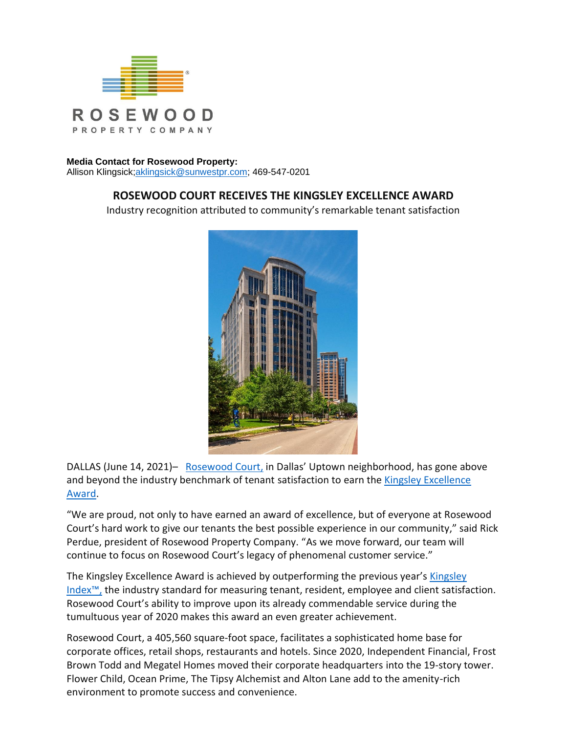

## **Media Contact for Rosewood Property:**

Allison Klingsick[;aklingsick@sunwestpr.com;](mailto:aklingsick@sunwestpr.com) 469-547-0201

## **ROSEWOOD COURT RECEIVES THE KINGSLEY EXCELLENCE AWARD**

Industry recognition attributed to community's remarkable tenant satisfaction



DALLAS (June 14, 2021)– [Rosewood Court,](https://www.rosewoodcourt.com/) in Dallas' Uptown neighborhood, has gone above and beyond the industry benchmark of tenant satisfaction to earn the [Kingsley Excellence](https://kingsleyassociates.com/kingsley-excellence/)  [Award.](https://kingsleyassociates.com/kingsley-excellence/)

"We are proud, not only to have earned an award of excellence, but of everyone at Rosewood Court's hard work to give our tenants the best possible experience in our community," said Rick Perdue, president of Rosewood Property Company. "As we move forward, our team will continue to focus on Rosewood Court's legacy of phenomenal customer service."

The Kingsley Excellence Award is achieved by outperforming the previous year's [Kingsley](https://kingsleyassociates.com/about-us/the-kingsley-index/) [Index](https://kingsleyassociates.com/about-us/the-kingsley-index/)™, the industry standard for measuring tenant, resident, employee and client satisfaction. Rosewood Court's ability to improve upon its already commendable service during the tumultuous year of 2020 makes this award an even greater achievement.

Rosewood Court, a 405,560 square-foot space, facilitates a sophisticated home base for corporate offices, retail shops, restaurants and hotels. Since 2020, Independent Financial, Frost Brown Todd and Megatel Homes moved their corporate headquarters into the 19-story tower. Flower Child, Ocean Prime, The Tipsy Alchemist and Alton Lane add to the amenity-rich environment to promote success and convenience.